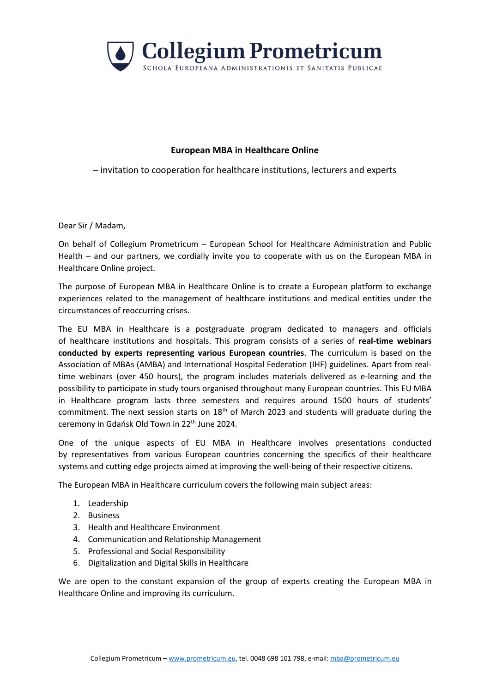

# **European MBA in Healthcare Online**

– invitation to cooperation for healthcare institutions, lecturers and experts

## Dear Sir / Madam,

On behalf of Collegium Prometricum – European School for Healthcare Administration and Public Health – and our partners, we cordially invite you to cooperate with us on the European MBA in Healthcare Online project.

The purpose of European MBA in Healthcare Online is to create a European platform to exchange experiences related to the management of healthcare institutions and medical entities under the circumstances of reoccurring crises.

The EU MBA in Healthcare is a postgraduate program dedicated to managers and officials of healthcare institutions and hospitals. This program consists of a series of **real-time webinars conducted by experts representing various European countries**. The curriculum is based on the Association of MBAs (AMBA) and International Hospital Federation (IHF) guidelines. Apart from realtime webinars (over 450 hours), the program includes materials delivered as e-learning and the possibility to participate in study tours organised throughout many European countries. This EU MBA in Healthcare program lasts three semesters and requires around 1500 hours of students' commitment. The next session starts on  $18<sup>th</sup>$  of March 2023 and students will graduate during the ceremony in Gdańsk Old Town in 22th June 2024.

One of the unique aspects of EU MBA in Healthcare involves presentations conducted by representatives from various European countries concerning the specifics of their healthcare systems and cutting edge projects aimed at improving the well-being of their respective citizens.

The European MBA in Healthcare curriculum covers the following main subject areas:

- 1. Leadership
- 2. Business
- 3. Health and Healthcare Environment
- 4. Communication and Relationship Management
- 5. Professional and Social Responsibility
- 6. Digitalization and Digital Skills in Healthcare

We are open to the constant expansion of the group of experts creating the European MBA in Healthcare Online and improving its curriculum.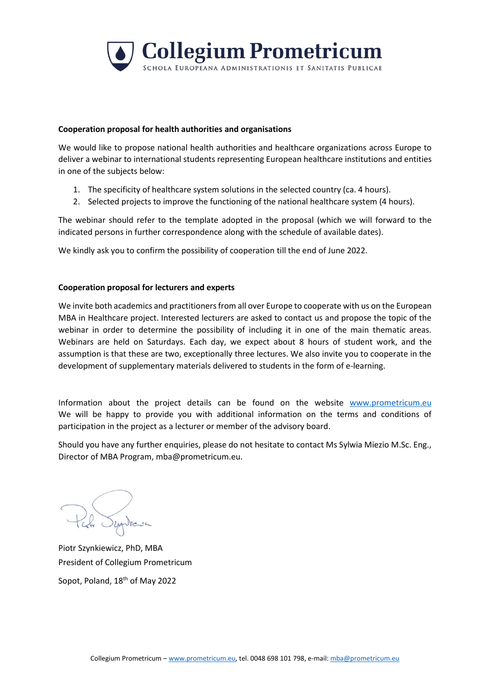

### **Cooperation proposal for health authorities and organisations**

We would like to propose national health authorities and healthcare organizations across Europe to deliver a webinar to international students representing European healthcare institutions and entities in one of the subjects below:

- 1. The specificity of healthcare system solutions in the selected country (ca. 4 hours).
- 2. Selected projects to improve the functioning of the national healthcare system (4 hours).

The webinar should refer to the template adopted in the proposal (which we will forward to the indicated persons in further correspondence along with the schedule of available dates).

We kindly ask you to confirm the possibility of cooperation till the end of June 2022.

## **Cooperation proposal for lecturers and experts**

We invite both academics and practitioners from all over Europe to cooperate with us on the European MBA in Healthcare project. Interested lecturers are asked to contact us and propose the topic of the webinar in order to determine the possibility of including it in one of the main thematic areas. Webinars are held on Saturdays. Each day, we expect about 8 hours of student work, and the assumption is that these are two, exceptionally three lectures. We also invite you to cooperate in the development of supplementary materials delivered to students in the form of e-learning.

Information about the project details can be found on the website [www.prometricum.eu](http://www.prometricum.eu/) We will be happy to provide you with additional information on the terms and conditions of participation in the project as a lecturer or member of the advisory board.

Should you have any further enquiries, please do not hesitate to contact Ms Sylwia Miezio M.Sc. Eng., Director of MBA Program[, mba@prometricum.eu.](mailto:mba@prometricum.eu)

Piotr Szynkiewicz, PhD, MBA President of Collegium Prometricum Sopot, Poland, 18<sup>th</sup> of May 2022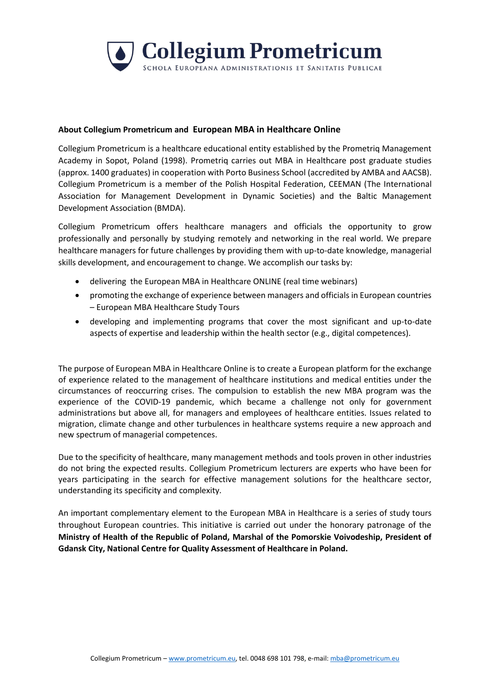

## **About Collegium Prometricum and European MBA in Healthcare Online**

Collegium Prometricum is a healthcare educational entity established by the Prometriq Management Academy in Sopot, Poland (1998). Prometriq carries out MBA in Healthcare post graduate studies (approx. 1400 graduates) in cooperation with Porto Business School (accredited by AMBA and AACSB). Collegium Prometricum is a member of the Polish Hospital Federation, CEEMAN (The International Association for Management Development in Dynamic Societies) and the Baltic Management Development Association (BMDA).

Collegium Prometricum offers healthcare managers and officials the opportunity to grow professionally and personally by studying remotely and networking in the real world. We prepare healthcare managers for future challenges by providing them with up-to-date knowledge, managerial skills development, and encouragement to change. We accomplish our tasks by:

- delivering the European MBA in Healthcare ONLINE (real time webinars)
- promoting the exchange of experience between managers and officials in European countries – European MBA Healthcare Study Tours
- developing and implementing programs that cover the most significant and up-to-date aspects of expertise and leadership within the health sector (e.g., digital competences).

The purpose of European MBA in Healthcare Online is to create a European platform for the exchange of experience related to the management of healthcare institutions and medical entities under the circumstances of reoccurring crises. The compulsion to establish the new MBA program was the experience of the COVID-19 pandemic, which became a challenge not only for government administrations but above all, for managers and employees of healthcare entities. Issues related to migration, climate change and other turbulences in healthcare systems require a new approach and new spectrum of managerial competences.

Due to the specificity of healthcare, many management methods and tools proven in other industries do not bring the expected results. Collegium Prometricum lecturers are experts who have been for years participating in the search for effective management solutions for the healthcare sector, understanding its specificity and complexity.

An important complementary element to the European MBA in Healthcare is a series of study tours throughout European countries. This initiative is carried out under the honorary patronage of the **Ministry of Health of the Republic of Poland, Marshal of the Pomorskie Voivodeship, President of Gdansk City, National Centre for Quality Assessment of Healthcare in Poland.**